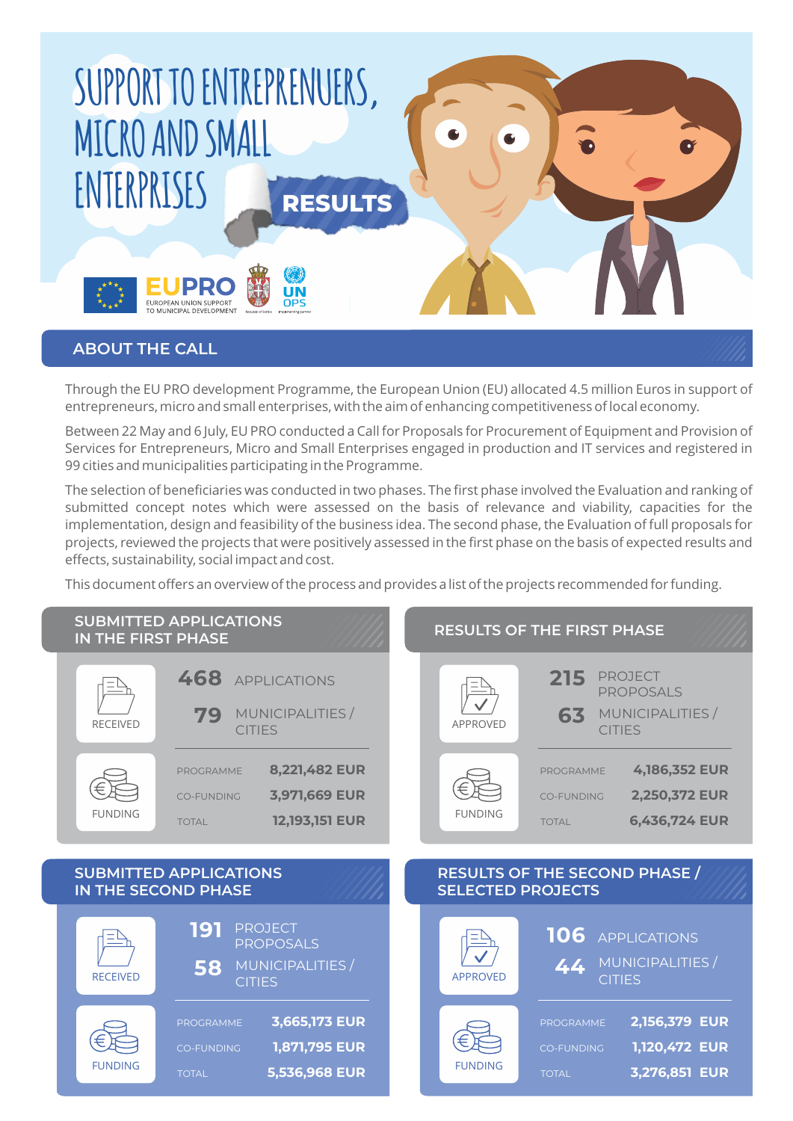

Through the EU PRO development Programme, the European Union (EU) allocated 4.5 million Euros in support of entrepreneurs, micro and small enterprises, with the aim of enhancing competitiveness of local economy.

Between 22 May and 6 July, EU PRO conducted a Call for Proposals for Procurement of Equipment and Provision of Services for Entrepreneurs, Micro and Small Enterprises engaged in production and IT services and registered in 99 cities and municipalities participating in the Programme.

The selection of beneficiaries was conducted in two phases. The first phase involved the Evaluation and ranking of submitted concept notes which were assessed on the basis of relevance and viability, capacities for the implementation, design and feasibility of the business idea. The second phase, the Evaluation of full proposals for projects, reviewed the projects that were positively assessed in the first phase on the basis of expected results and effects, sustainability, social impact and cost.

This document offers an overview of the process and provides a list of the projects recommended for funding.

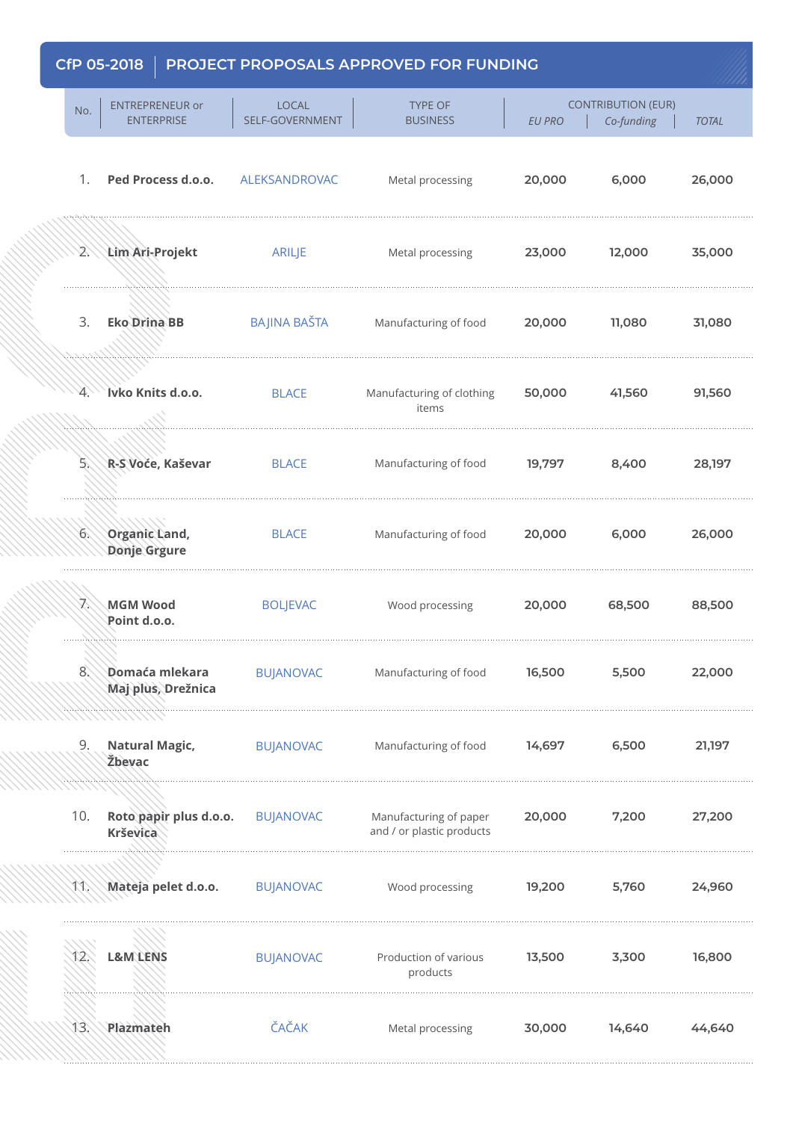| No.                   | <b>ENTREPRENEUR or</b><br><b>ENTERPRISE</b>  | <b>LOCAL</b><br>SELF-GOVERNMENT | <b>TYPE OF</b><br><b>BUSINESS</b>                   | <b>EU PRO</b> | <b>CONTRIBUTION (EUR)</b><br>Co-funding | <b>TOTAL</b> |
|-----------------------|----------------------------------------------|---------------------------------|-----------------------------------------------------|---------------|-----------------------------------------|--------------|
| 1.                    | Ped Process d.o.o.                           | ALEKSANDROVAC                   | Metal processing                                    | 20,000        | 6,000                                   | 26,000       |
|                       | 2. Lim Ari-Projekt                           | ARILJE                          | Metal processing                                    | 23,000        | 12,000                                  | 35,000       |
| 3.                    | <b>Eko Drina BB</b>                          | BAJINA BAŠTA                    | Manufacturing of food                               | 20,000        | 11,080                                  | 31,080       |
| YA.                   | Ivko Knits d.o.o.                            | <b>BLACE</b>                    | Manufacturing of clothing<br>items                  | 50,000        | 41,560                                  | 91,560       |
| $5^{\circ}$           | R-S Voće, Kaševar                            | <b>BLACE</b>                    | Manufacturing of food                               | 19,797        | 8,400                                   | 28,197       |
|                       | 6. Organic Land,<br>Donje Grgure             | <b>BLACE</b>                    | Manufacturing of food                               | 20,000        | 6,000                                   | 26,000       |
| X,                    | <b>MGM Wood</b><br>Point d.o.o.              | <b>BOLJEVAC</b>                 | Wood processing                                     | 20,000        | 68,500                                  | 88,500       |
| $8^\circ\!\!\!\!\sim$ | <b>\Domaća mlekara</b><br>Maj plus, Drežnica | <b>BUJANOVAC</b>                | Manufacturing of food                               | 16,500        | 5,500                                   | 22,000       |
| 9.                    | <b>Natural Magic,</b><br>Žbevac              | <b>BUJANOVAC</b>                | Manufacturing of food                               | 14,697        | 6,500                                   | 21,197       |
| 10.                   | Roto papir plus d.o.o.<br>Krševica           | <b>BUJANOVAC</b>                | Manufacturing of paper<br>and / or plastic products | 20,000        | 7,200                                   | 27,200       |
| メメン                   | Mateja pelet d.o.o.                          | <b>BUJANOVAC</b>                | Wood processing                                     | 19,200        | 5,760                                   | 24,960       |
| JZ.                   | <b>L&amp;M\LENS</b>                          | <b>BUJANOVAC</b>                | Production of various<br>products                   | 13,500        | 3,300                                   | 16,800       |
| 13.                   | Plazmateh                                    | ČAČAK                           | Metal processing                                    | 30,000        | 14,640                                  | 44,640       |
|                       |                                              |                                 |                                                     |               |                                         |              |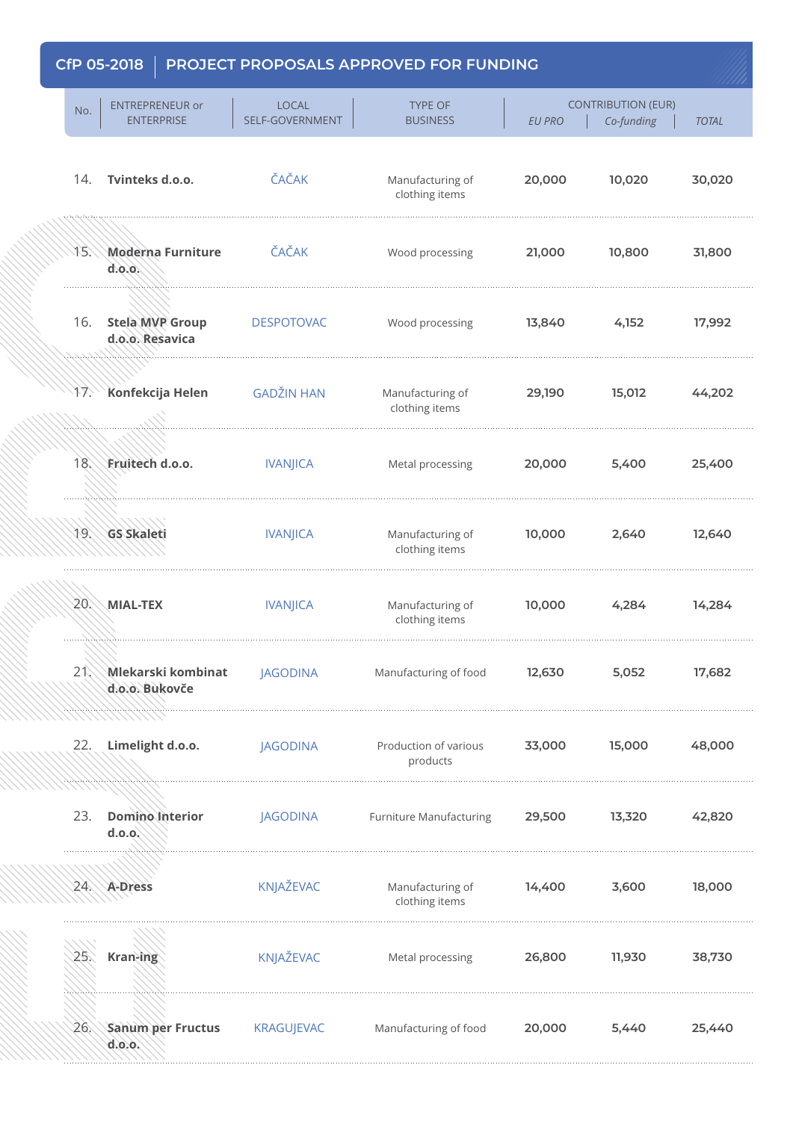| No.        | <b>ENTREPRENEUR or</b><br><b>ENTERPRISE</b> | <b>LOCAL</b><br>SELF-GOVERNMENT | <b>TYPE OF</b><br><b>BUSINESS</b>  | <b>EU PRO</b> | <b>CONTRIBUTION (EUR)</b><br>Co-funding | <b>TOTAL</b> |
|------------|---------------------------------------------|---------------------------------|------------------------------------|---------------|-----------------------------------------|--------------|
|            | 14. Tvinteks d.o.o.                         | ČAČAK                           | Manufacturing of<br>clothing items | 20,000        | 10,020                                  | 30,020       |
| J.S.\      | <b>Moderna Furniture</b><br>d.0.0.          | ČAČAK                           | Wood processing                    | 21,000        | 10,800                                  | 31,800       |
| 16.        | <b>Stela MVP Group</b><br>d.o.o. Resavica   | <b>DESPOTOVAC</b>               | Wood processing                    | 13,840        | 4,152                                   | 17,992       |
| $4 \times$ | Konfekcija Helen                            | <b>GADŽIN HAN</b>               | Manufacturing of<br>clothing items | 29,190        | 15,012                                  | 44,202       |
|            | 18. Fruitech d.o.o.                         | <b>IVANJICA</b>                 | Metal processing                   | 20,000        | 5,400                                   | 25,400       |
|            | 19. GS Skaleti                              | <b>IVANJICA</b>                 | Manufacturing of<br>clothing items | 10,000        | 2,640                                   | 12,640       |
| 20.        | <b>MIAL-TEX</b>                             | <b>IVANJICA</b>                 | Manufacturing of<br>clothing items | 10,000        | 4,284                                   | 14,284       |
|            | 21 Mlekarski kombinat<br>d.o.o. Bukovče     | <b>JAGODINA</b>                 | Manufacturing of food              | 12,630        | 5,052                                   | 17,682       |
| 22.        | Limelight d.o.o.                            | <b>JAGODINA</b>                 | Production of various<br>products  | 33,000        | 15,000                                  | 48,000       |
| 23.        | Domino Interior<br>d.o.o.                   | JAGODINA                        | <b>Furniture Manufacturing</b>     | 29,500        | 13,320                                  | 42,820       |
|            | 24. A-Dress                                 | KNJAŽEVAC                       | Manufacturing of<br>clothing items | 14,400        | 3,600                                   | 18,000       |
| 25.        | Kran-ing                                    | KNJAŽEVAC                       | Metal processing                   | 26,800        | 11,930                                  | 38,730       |
| 26.        | Sanum per Fructus<br>d.0.0.                 | <b>KRAGUJEVAC</b>               | Manufacturing of food              | 20,000        | 5,440                                   | 25,440       |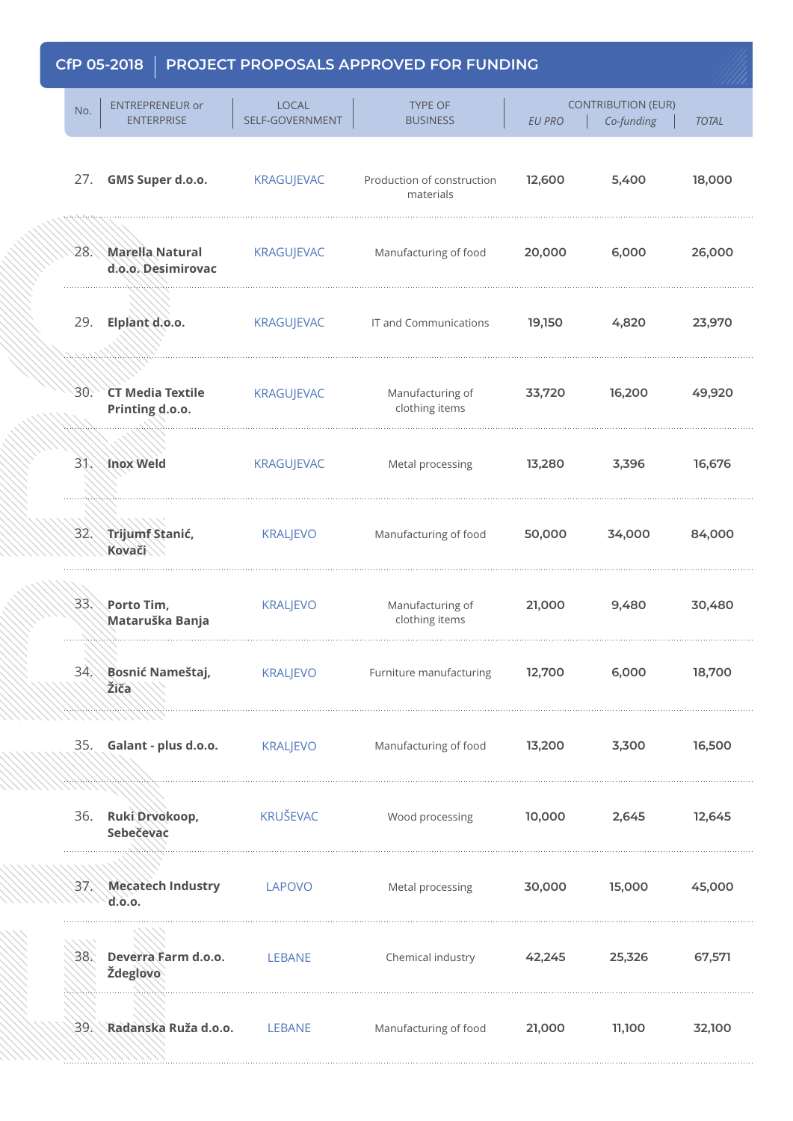| No. | <b>ENTREPRENEUR or</b><br><b>ENTERPRISE</b> | <b>LOCAL</b><br>SELF-GOVERNMENT | <b>TYPE OF</b><br><b>BUSINESS</b>       | <b>EU PRO</b> | <b>CONTRIBUTION (EUR)</b><br>Co-funding | <b>TOTAL</b> |
|-----|---------------------------------------------|---------------------------------|-----------------------------------------|---------------|-----------------------------------------|--------------|
| 27. | GMS Super d.o.o.                            | <b>KRAGUJEVAC</b>               | Production of construction<br>materials | 12,600        | 5,400                                   | 18,000       |
|     | 28. Marella Natural<br>d.o.o. Desimirovac   | <b>KRAGUJEVAC</b>               | Manufacturing of food                   | 20,000        | 6,000                                   | 26,000       |
|     | 29. Elplant d.o.o.                          | <b>KRAGUJEVAC</b>               | IT and Communications                   | 19,150        | 4,820                                   | 23,970       |
| 30. | <b>CT Media Textile</b><br>Printing d.o.o.  | <b>KRAGUJEVAC</b>               | Manufacturing of<br>clothing items      | 33,720        | 16,200                                  | 49,920       |
|     | 31. Inox Weld                               | <b>KRAGUJEVAC</b>               | Metal processing                        | 13,280        | 3,396                                   | 16,676       |
|     | 32. Trijumf Stanić,<br>Kovači               | <b>KRALJEVO</b>                 | Manufacturing of food                   | 50,000        | 34,000                                  | 84,000       |
|     | 33. Porto Tim,<br>Mataruška Banja           | <b>KRALJEVO</b>                 | Manufacturing of<br>clothing items      | 21,000        | 9,480                                   | 30,480       |
|     | 34. Bosnić Nameštaj,<br>Žiča                | <b>KRALJEVO</b>                 | Furniture manufacturing                 | 12,700        | 6,000                                   | 18,700       |
| 35. | Galant - plus d.o.o.                        | <b>KRALJEVO</b>                 | Manufacturing of food                   | 13,200        | 3,300                                   | 16,500       |
|     | 36. Ruki Drvokoop,<br>Sebečevac             | KRUŠEVAC                        | Wood processing                         | 10,000        | 2,645                                   | 12,645       |
|     | 37. Mecatech Industry<br>d.o.o.             | <b>LAPOVO</b>                   | Metal processing                        | 30,000        | 15,000                                  | 45,000       |
| 38. | Deverra Farm d.o.o.<br>Ždeglovo             | LEBANE                          | Chemical industry                       | 42,245        | 25,326                                  | 67,571       |
|     | 39. Radanska Ruža d.o.o.                    | <b>LEBANE</b>                   | Manufacturing of food                   | 21,000        | 11,100                                  | 32,100       |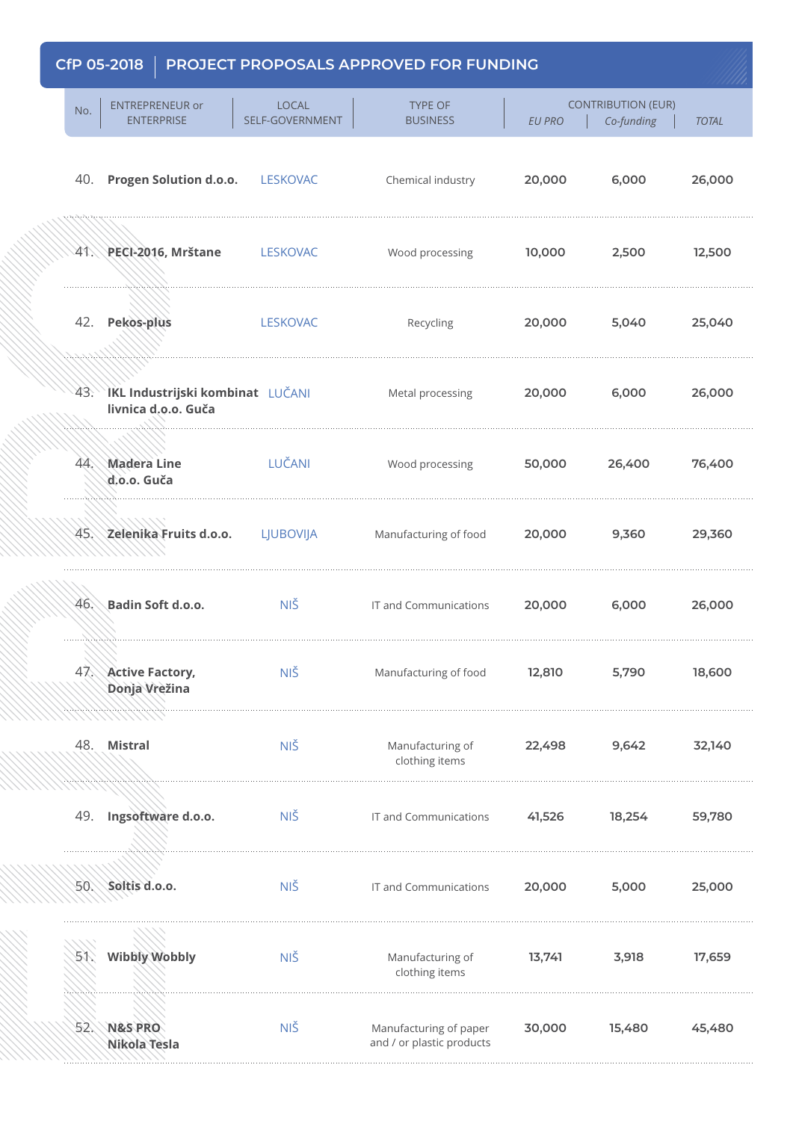| <b>LOCAL</b><br>SELF-GOVERNMENT | <b>TYPE OF</b><br><b>BUSINESS</b>                                                                | <b>EU PRO</b> | Co-funding | <b>TOTAL</b>              |
|---------------------------------|--------------------------------------------------------------------------------------------------|---------------|------------|---------------------------|
| <b>LESKOVAC</b>                 | Chemical industry                                                                                | 20,000        | 6,000      | 26,000                    |
| <b>LESKOVAC</b>                 | Wood processing                                                                                  | 10,000        | 2,500      | 12,500                    |
| <b>LESKOVAC</b>                 | Recycling                                                                                        | 20,000        | 5,040      | 25,040                    |
|                                 | Metal processing                                                                                 | 20,000        | 6,000      | 26,000                    |
| LUČANI                          | Wood processing                                                                                  | 50,000        | 26,400     | 76,400                    |
| LJUBOVIJA                       | Manufacturing of food                                                                            | 20,000        | 9,360      | 29,360                    |
| NIŠ                             | IT and Communications                                                                            | 20,000        | 6,000      | 26,000                    |
| <b>NIŠ</b>                      | Manufacturing of food                                                                            | 12,810        | 5,790      | 18,600                    |
| NIŠ                             | Manufacturing of<br>clothing items                                                               | 22,498        | 9,642      | 32,140                    |
| <b>NIŠ</b>                      | IT and Communications                                                                            | 41,526        | 18,254     | 59,780                    |
| NIŠ                             | IT and Communications                                                                            | 20,000        | 5,000      | 25,000                    |
| NIŠ                             | Manufacturing of<br>clothing items                                                               | 13,741        | 3,918      | 17,659                    |
| NIŠ                             | Manufacturing of paper<br>and / or plastic products                                              | 30,000        | 15,480     | 45,480                    |
|                                 | 40. Progen Solution d.o.o.<br>43. IKL Industrijski kombinat LUČANI<br>45. Zelenika Fruits d.o.o. |               |            | <b>CONTRIBUTION (EUR)</b> |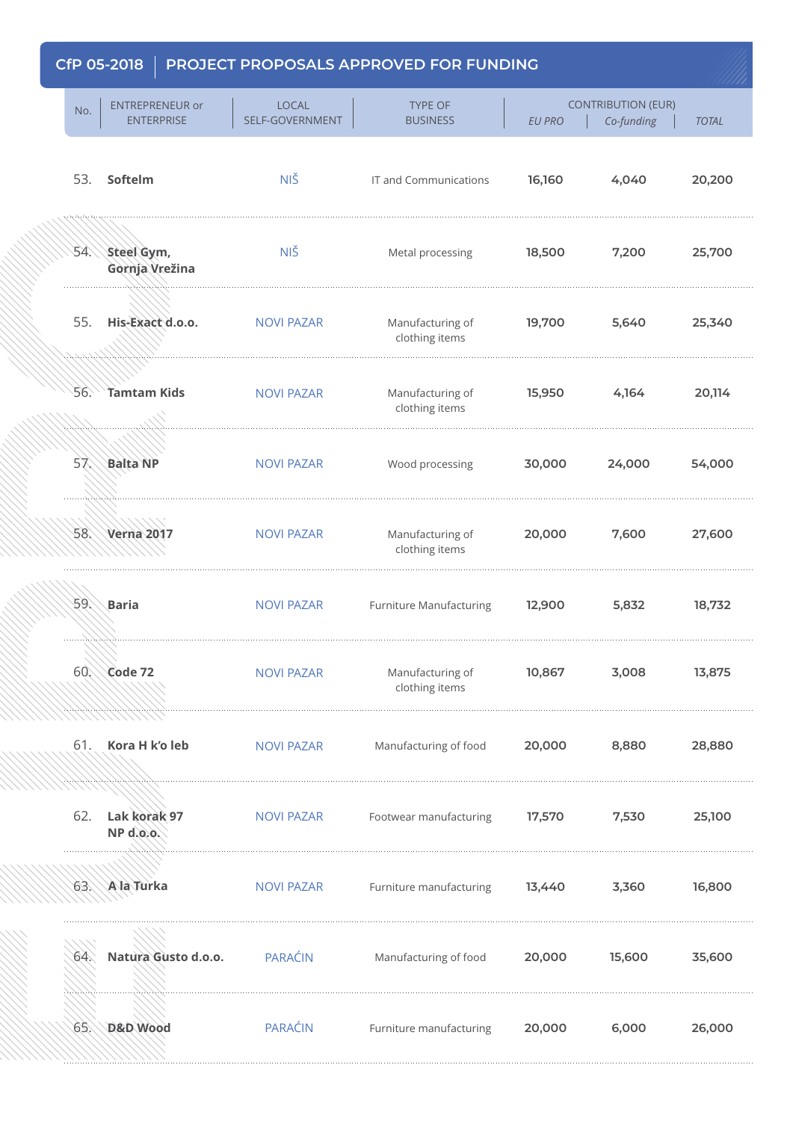| No. | <b>ENTREPRENEUR or</b><br><b>ENTERPRISE</b> | <b>LOCAL</b><br>SELF-GOVERNMENT | <b>TYPE OF</b><br><b>BUSINESS</b>  | <b>EU PRO</b> | <b>CONTRIBUTION (EUR)</b><br>Co-funding | <b>TOTAL</b> |
|-----|---------------------------------------------|---------------------------------|------------------------------------|---------------|-----------------------------------------|--------------|
|     | 53. Softelm                                 | NIŠ                             | IT and Communications              | 16,160        | 4,040                                   | 20,200       |
|     | 54. Steel Gym,<br>Gornja Vrežina            | <b>NIŠ</b>                      | Metal processing                   | 18,500        | 7,200                                   | 25,700       |
| 55. | His-Exact d.o.o.                            | <b>NOVI PAZAR</b>               | Manufacturing of<br>clothing items | 19,700        | 5,640                                   | 25,340       |
| 56. | Tamtam Kids                                 | <b>NOVI PAZAR</b>               | Manufacturing of<br>clothing items | 15,950        | 4,164                                   | 20,114       |
|     | 57 Balta NP                                 | <b>NOVI PAZAR</b>               | Wood processing                    | 30,000        | 24,000                                  | 54,000       |
|     | 58. Verna 2017                              | <b>NOVI PAZAR</b>               | Manufacturing of<br>clothing items | 20,000        | 7,600                                   | 27,600       |
| 59. | <b>Baria</b>                                | <b>NOVI PAZAR</b>               | <b>Furniture Manufacturing</b>     | 12,900        | 5,832                                   | 18,732       |
|     | 60. Code 72                                 | <b>NOVI PAZAR</b>               | Manufacturing of<br>clothing items | 10,867        | 3,008                                   | 13,875       |
| 61. | Kora H k'o leb                              | <b>NOVI PAZAR</b>               | Manufacturing of food              | 20,000        | 8,880                                   | 28,880       |
| 62. | Lak korak 97<br>NP d.o.o.                   | <b>NOVI PAZAR</b>               | Footwear manufacturing             | 17,570        | 7,530                                   | 25,100       |
|     | 63. Ala Turka                               | <b>NOVI PAZAR</b>               | Furniture manufacturing            | 13,440        | 3,360                                   | 16,800       |
| 64. | Natura Gusto d.o.o.                         | PARAĆIN                         | Manufacturing of food              | 20,000        | 15,600                                  | 35,600       |
| 65. | D&D Wood                                    | PARAĆIN                         | Furniture manufacturing            | 20,000        | 6,000                                   | 26,000       |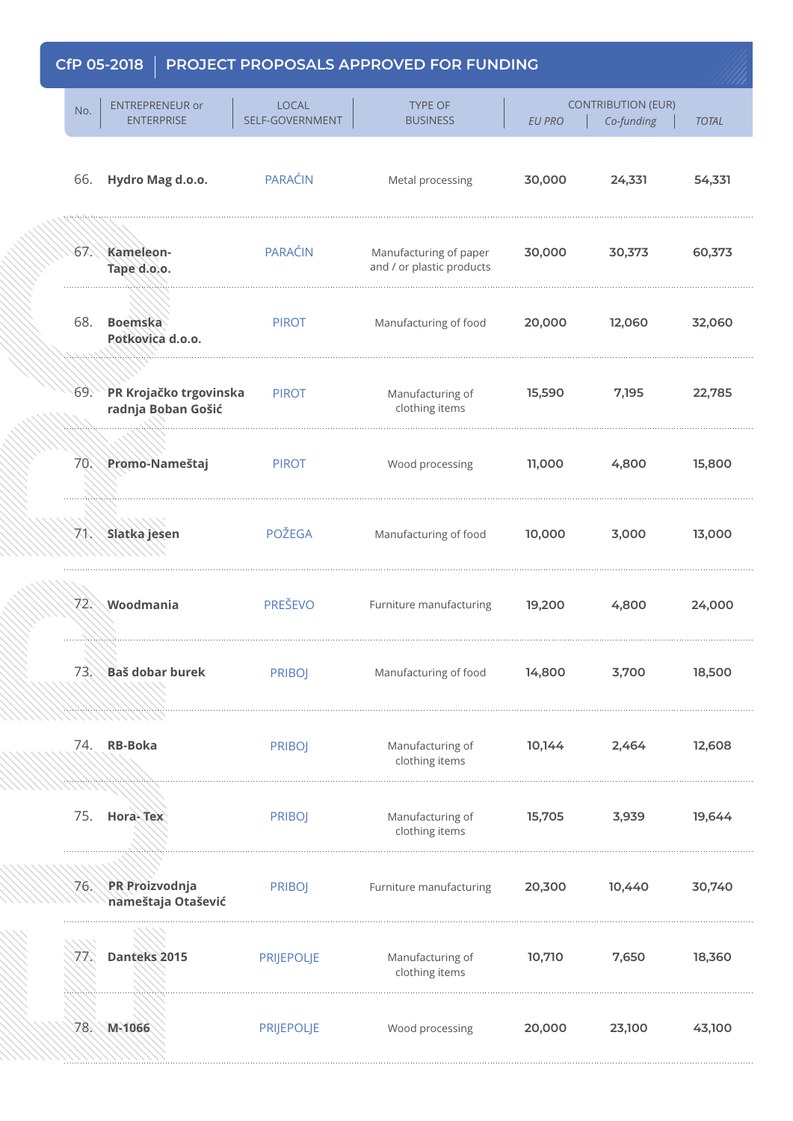elektrologiya (1999) (1999) (1999) (1999) (1999) (1999) (1999)

|     | טוטב כט זוט                                  |                                 | CHANGE COALD AF FINOVED FON FONDING                 |               |                                         |              |
|-----|----------------------------------------------|---------------------------------|-----------------------------------------------------|---------------|-----------------------------------------|--------------|
| No. | <b>ENTREPRENEUR or</b><br><b>ENTERPRISE</b>  | <b>LOCAL</b><br>SELF-GOVERNMENT | <b>TYPE OF</b><br><b>BUSINESS</b>                   | <b>EU PRO</b> | <b>CONTRIBUTION (EUR)</b><br>Co-funding | <b>TOTAL</b> |
| 66. | Hydro Mag d.o.o.                             | <b>PARAĆIN</b>                  | Metal processing                                    | 30,000        | 24,331                                  | 54,331       |
| 67. | Kameleon-<br>Tape d.o.o.                     | PARAĆIN                         | Manufacturing of paper<br>and / or plastic products | 30,000        | 30,373                                  | 60,373       |
| 68. | <b>Boemska</b><br>Potkovica d.o.o.           | <b>PIROT</b>                    | Manufacturing of food                               | 20,000        | 12,060                                  | 32,060       |
| 69. | PR Krojačko trgovinska<br>radnja Boban Gošić | <b>PIROT</b>                    | Manufacturing of<br>clothing items                  | 15,590        | 7,195                                   | 22,785       |
|     | 70. Promo-Nameštaj                           | <b>PIROT</b>                    | Wood processing                                     | 11,000        | 4,800                                   | 15,800       |
|     | 71 Slatka jesen                              | <b>POŽEGA</b>                   | Manufacturing of food                               | 10,000        | 3,000                                   | 13,000       |
| 72. | Woodmania                                    | <b>PREŠEVO</b>                  | Furniture manufacturing                             | 19,200        | 4,800                                   | 24,000       |
|     | 73. Baš dobar burek                          | <b>PRIBOJ</b>                   | Manufacturing of food                               | 14,800        | 3,700                                   | 18,500       |
| 74. | <b>RB-Boka</b>                               | <b>PRIBOJ</b>                   | Manufacturing of<br>clothing items                  | 10,144        | 2,464                                   | 12,608       |
| 75. | Hora-Tex                                     | <b>PRIBOJ</b>                   | Manufacturing of<br>clothing items                  | 15,705        | 3,939                                   | 19,644       |
|     | 76. PR Proizvodnja<br>nameštaja Otašević     | <b>PRIBOJ</b>                   | Furniture manufacturing                             | 20,300        | 10,440                                  | 30,740       |
| 77. | Danteks 2015                                 | <b>PRIJEPOLJE</b>               | Manufacturing of<br>clothing items                  | 10,710        | 7,650                                   | 18,360       |
| 78. | M-1066                                       | <b>PRIJEPOLJE</b>               | Wood processing                                     | 20,000        | 23,100                                  | 43,100       |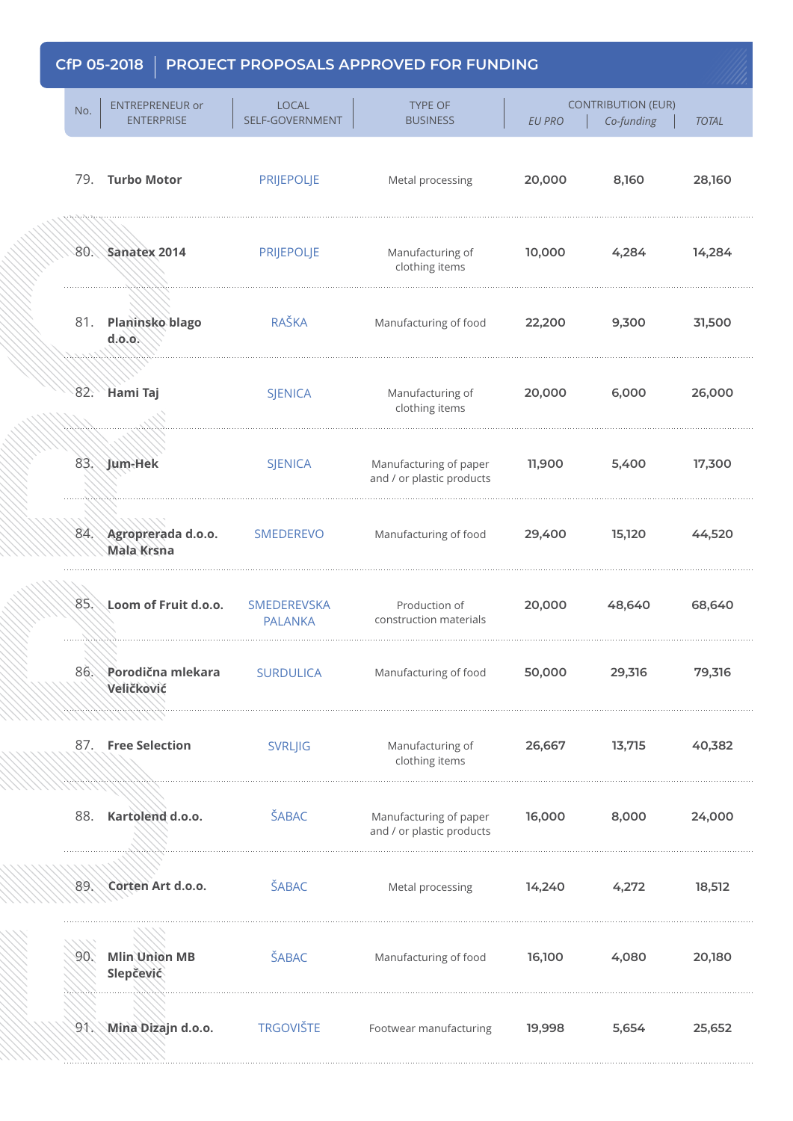1990 Martin 1990 Martin 1990 Martin 1990 Martin 1990 Martin 1990 Martin 1990 Martin 1990 Martin 1990 Martin 19

| No.        | <b>ENTREPRENEUR or</b><br><b>ENTERPRISE</b> | <b>LOCAL</b><br>SELF-GOVERNMENT      | <b>TYPE OF</b><br><b>BUSINESS</b>                   | <b>EU PRO</b> | <b>CONTRIBUTION (EUR)</b><br>Co-funding | <b>TOTAL</b> |
|------------|---------------------------------------------|--------------------------------------|-----------------------------------------------------|---------------|-----------------------------------------|--------------|
|            | 79. Turbo Motor                             | <b>PRIJEPOLJE</b>                    | Metal processing                                    | 20,000        | 8,160                                   | 28,160       |
| 80.        | Sanatex 2014                                | <b>PRIJEPOLJE</b>                    | Manufacturing of<br>clothing items                  | 10,000        | 4,284                                   | 14,284       |
| 81.        | <b>Planinsko blago</b><br>d.0.0.            | <b>RAŠKA</b>                         | Manufacturing of food                               | 22,200        | 9,300                                   | 31,500       |
| 82.        | <b>Hami Taj</b>                             | <b>SJENICA</b>                       | Manufacturing of<br>clothing items                  | 20,000        | 6,000                                   | 26,000       |
|            | 83. Jum-Hek                                 | <b>SJENICA</b>                       | Manufacturing of paper<br>and / or plastic products | 11,900        | 5,400                                   | 17,300       |
|            | 84. Agroprerada d.o.o.<br><b>Mala Krsna</b> | <b>SMEDEREVO</b>                     | Manufacturing of food                               | 29,400        | 15,120                                  | 44,520       |
| 85.        | Loom of Fruit d.o.o.                        | <b>SMEDEREVSKA</b><br><b>PALANKA</b> | Production of<br>construction materials             | 20,000        | 48,640                                  | 68,640       |
| 86.        | Porodična mlekara<br>Veličković             | <b>SURDULICA</b>                     | Manufacturing of food                               | 50,000        | 29,316                                  | 79,316       |
| 87.        | <b>Free Selection</b>                       | <b>SVRLJIG</b>                       | Manufacturing of<br>clothing items                  | 26,667        | 13,715                                  | 40,382       |
| 88.        | Kartolend d.o.o.                            | ŠABAC                                | Manufacturing of paper<br>and / or plastic products | 16,000        | 8,000                                   | 24,000       |
|            | 89. Corten Art d.o.o.                       | ŠABAC                                | Metal processing                                    | 14,240        | 4,272                                   | 18,512       |
| 90.        | <b>Mlin Union MB</b><br>Slepčević           | ŠABAC                                | Manufacturing of food                               | 16,100        | 4,080                                   | 20,180       |
| $\delta V$ | Mina Dizajn d.o.o.                          | <b>TRGOVIŠTE</b>                     | Footwear manufacturing                              | 19,998        | 5,654                                   | 25,652       |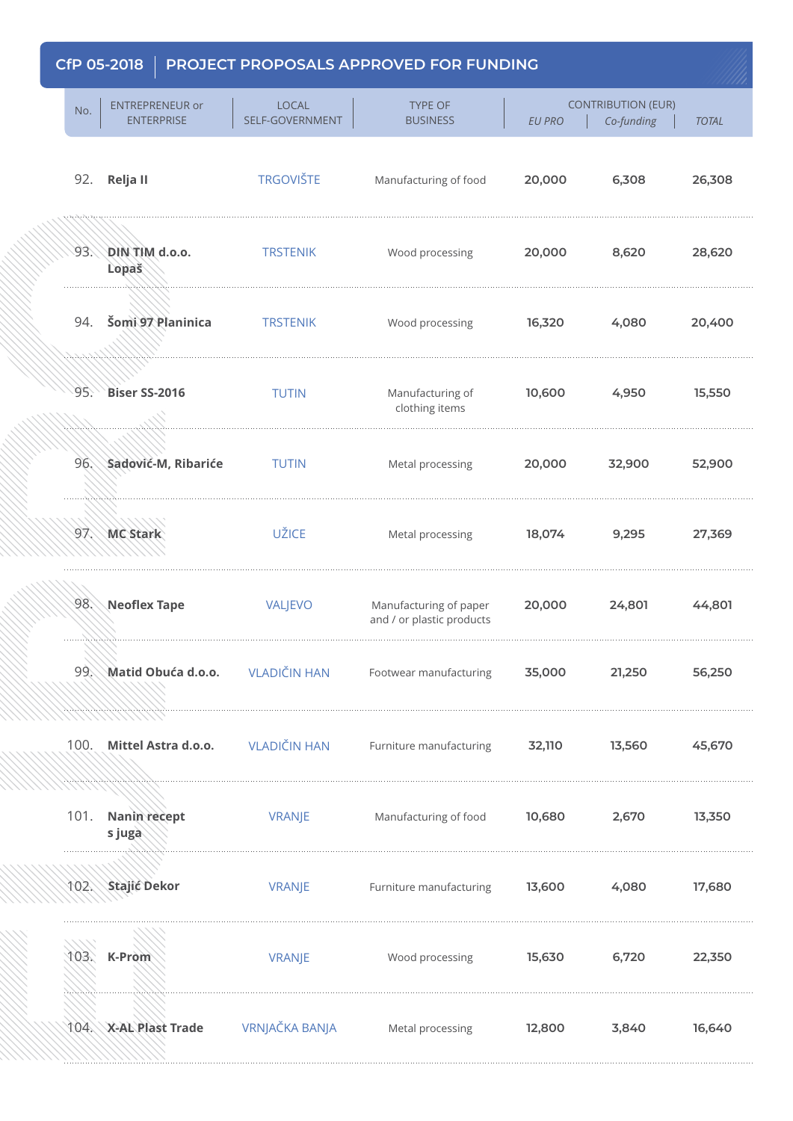1000 Martin 1990

| No.  | <b>ENTREPRENEUR or</b><br><b>ENTERPRISE</b> | LOCAL<br>SELF-GOVERNMENT | <b>TYPE OF</b><br><b>BUSINESS</b>                   | <b>EU PRO</b> | <b>CONTRIBUTION (EUR)</b><br>Co-funding | <b>TOTAL</b> |
|------|---------------------------------------------|--------------------------|-----------------------------------------------------|---------------|-----------------------------------------|--------------|
|      | 92. Relja II                                | <b>TRGOVIŠTE</b>         | Manufacturing of food                               | 20,000        | 6,308                                   | 26,308       |
| 93.  | DIN TIM d.o.o.<br>Lopaš                     | <b>TRSTENIK</b>          | Wood processing                                     | 20,000        | 8,620                                   | 28,620       |
| 94.  | Šomi 97 Planinica                           | <b>TRSTENIK</b>          | Wood processing                                     | 16,320        | 4,080                                   | 20,400       |
| 95.  | <b>Biser SS-2016</b>                        | <b>TUTIN</b>             | Manufacturing of<br>clothing items                  | 10,600        | 4,950                                   | 15,550       |
|      | 96. Sadović-M, Ribariće                     | <b>TUTIN</b>             | Metal processing                                    | 20,000        | 32,900                                  | 52,900       |
|      | 97. MC Stark                                | <b>UŽICE</b>             | Metal processing                                    | 18,074        | 9,295                                   | 27,369       |
| 98.  | $\setminus$ Neoflex Tape                    | <b>VALJEVO</b>           | Manufacturing of paper<br>and / or plastic products | 20,000        | 24,801                                  | 44,801       |
| 99   | <b>Matid Obuća d.o.o.</b>                   | VLADIČIN HAN             | Footwear manufacturing                              | 35,000        | 21,250                                  | 56,250       |
| 100. | Mittel Astra d.o.o.                         | <b>VLADIČIN HAN</b>      | Furniture manufacturing                             | 32,110        | 13,560                                  | 45,670       |
| 101. | Nanin recept<br>s juga                      | <b>VRANJE</b>            | Manufacturing of food                               | 10,680        | 2,670                                   | 13,350       |
|      | 102. Stajić Dekor                           | <b>VRANJE</b>            | Furniture manufacturing                             | 13,600        | 4,080                                   | 17,680       |
| 103. | K-Prom                                      | <b>VRANJE</b>            | Wood processing                                     | 15,630        | 6,720                                   | 22,350       |
|      | 104. X-AL Plast Trade                       | VRNJAČKA BANJA           | Metal processing                                    | 12,800        | 3,840                                   | 16,640       |